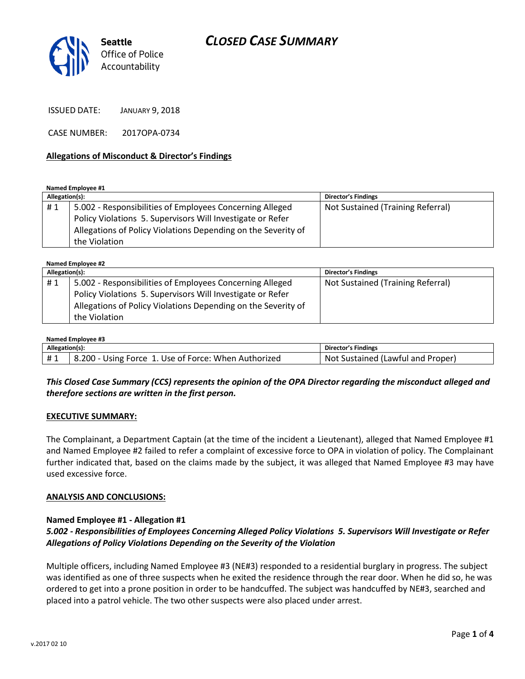

ISSUED DATE: JANUARY 9, 2018

CASE NUMBER: 2017OPA-0734

### **Allegations of Misconduct & Director's Findings**

**Named Employee #1**

| Allegation(s): |                                                               | <b>Director's Findings</b>        |
|----------------|---------------------------------------------------------------|-----------------------------------|
| #1             | 5.002 - Responsibilities of Employees Concerning Alleged      | Not Sustained (Training Referral) |
|                | Policy Violations 5. Supervisors Will Investigate or Refer    |                                   |
|                | Allegations of Policy Violations Depending on the Severity of |                                   |
|                | the Violation                                                 |                                   |

**Named Employee #2**

| Allegation(s): |                                                               | Director's Findings               |
|----------------|---------------------------------------------------------------|-----------------------------------|
| #1             | 5.002 - Responsibilities of Employees Concerning Alleged      | Not Sustained (Training Referral) |
|                | Policy Violations 5. Supervisors Will Investigate or Refer    |                                   |
|                | Allegations of Policy Violations Depending on the Severity of |                                   |
|                | the Violation                                                 |                                   |

| Named Employee #3 |                                                      |                                   |  |  |
|-------------------|------------------------------------------------------|-----------------------------------|--|--|
| Allegation(s):    |                                                      | Director's Findings               |  |  |
| #1                | 8.200 - Using Force 1. Use of Force: When Authorized | Not Sustained (Lawful and Proper) |  |  |

# *This Closed Case Summary (CCS) represents the opinion of the OPA Director regarding the misconduct alleged and therefore sections are written in the first person.*

#### **EXECUTIVE SUMMARY:**

The Complainant, a Department Captain (at the time of the incident a Lieutenant), alleged that Named Employee #1 and Named Employee #2 failed to refer a complaint of excessive force to OPA in violation of policy. The Complainant further indicated that, based on the claims made by the subject, it was alleged that Named Employee #3 may have used excessive force.

#### **ANALYSIS AND CONCLUSIONS:**

## **Named Employee #1 - Allegation #1**

# *5.002 - Responsibilities of Employees Concerning Alleged Policy Violations 5. Supervisors Will Investigate or Refer Allegations of Policy Violations Depending on the Severity of the Violation*

Multiple officers, including Named Employee #3 (NE#3) responded to a residential burglary in progress. The subject was identified as one of three suspects when he exited the residence through the rear door. When he did so, he was ordered to get into a prone position in order to be handcuffed. The subject was handcuffed by NE#3, searched and placed into a patrol vehicle. The two other suspects were also placed under arrest.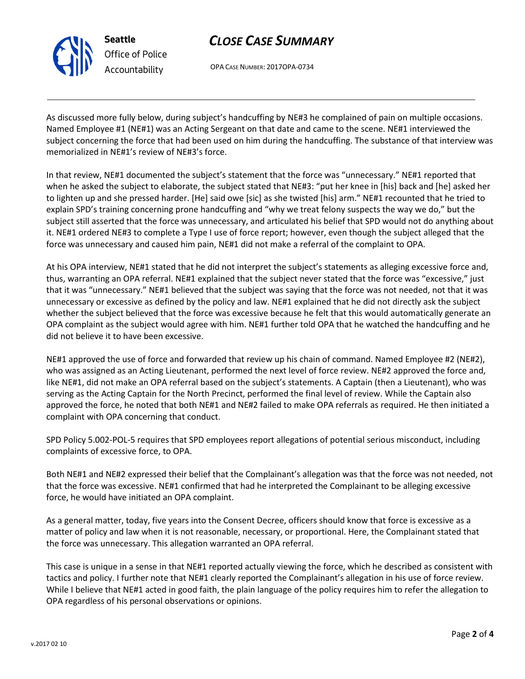

# *CLOSE CASE SUMMARY*

OPA CASE NUMBER: 2017OPA-0734

As discussed more fully below, during subject's handcuffing by NE#3 he complained of pain on multiple occasions. Named Employee #1 (NE#1) was an Acting Sergeant on that date and came to the scene. NE#1 interviewed the subject concerning the force that had been used on him during the handcuffing. The substance of that interview was memorialized in NE#1's review of NE#3's force.

In that review, NE#1 documented the subject's statement that the force was "unnecessary." NE#1 reported that when he asked the subject to elaborate, the subject stated that NE#3: "put her knee in [his] back and [he] asked her to lighten up and she pressed harder. [He] said owe [sic] as she twisted [his] arm." NE#1 recounted that he tried to explain SPD's training concerning prone handcuffing and "why we treat felony suspects the way we do," but the subject still asserted that the force was unnecessary, and articulated his belief that SPD would not do anything about it. NE#1 ordered NE#3 to complete a Type I use of force report; however, even though the subject alleged that the force was unnecessary and caused him pain, NE#1 did not make a referral of the complaint to OPA.

At his OPA interview, NE#1 stated that he did not interpret the subject's statements as alleging excessive force and, thus, warranting an OPA referral. NE#1 explained that the subject never stated that the force was "excessive," just that it was "unnecessary." NE#1 believed that the subject was saying that the force was not needed, not that it was unnecessary or excessive as defined by the policy and law. NE#1 explained that he did not directly ask the subject whether the subject believed that the force was excessive because he felt that this would automatically generate an OPA complaint as the subject would agree with him. NE#1 further told OPA that he watched the handcuffing and he did not believe it to have been excessive.

NE#1 approved the use of force and forwarded that review up his chain of command. Named Employee #2 (NE#2), who was assigned as an Acting Lieutenant, performed the next level of force review. NE#2 approved the force and, like NE#1, did not make an OPA referral based on the subject's statements. A Captain (then a Lieutenant), who was serving as the Acting Captain for the North Precinct, performed the final level of review. While the Captain also approved the force, he noted that both NE#1 and NE#2 failed to make OPA referrals as required. He then initiated a complaint with OPA concerning that conduct.

SPD Policy 5.002-POL-5 requires that SPD employees report allegations of potential serious misconduct, including complaints of excessive force, to OPA.

Both NE#1 and NE#2 expressed their belief that the Complainant's allegation was that the force was not needed, not that the force was excessive. NE#1 confirmed that had he interpreted the Complainant to be alleging excessive force, he would have initiated an OPA complaint.

As a general matter, today, five years into the Consent Decree, officers should know that force is excessive as a matter of policy and law when it is not reasonable, necessary, or proportional. Here, the Complainant stated that the force was unnecessary. This allegation warranted an OPA referral.

This case is unique in a sense in that NE#1 reported actually viewing the force, which he described as consistent with tactics and policy. I further note that NE#1 clearly reported the Complainant's allegation in his use of force review. While I believe that NE#1 acted in good faith, the plain language of the policy requires him to refer the allegation to OPA regardless of his personal observations or opinions.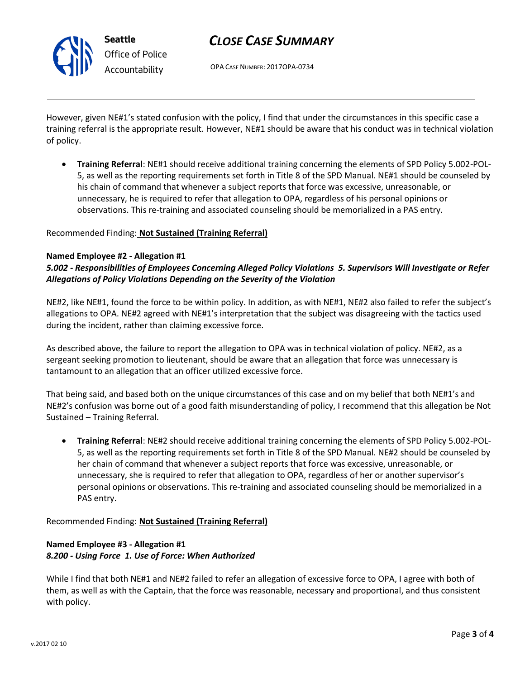

# *CLOSE CASE SUMMARY*

OPA CASE NUMBER: 2017OPA-0734

However, given NE#1's stated confusion with the policy, I find that under the circumstances in this specific case a training referral is the appropriate result. However, NE#1 should be aware that his conduct was in technical violation of policy.

 **Training Referral**: NE#1 should receive additional training concerning the elements of SPD Policy 5.002-POL-5, as well as the reporting requirements set forth in Title 8 of the SPD Manual. NE#1 should be counseled by his chain of command that whenever a subject reports that force was excessive, unreasonable, or unnecessary, he is required to refer that allegation to OPA, regardless of his personal opinions or observations. This re-training and associated counseling should be memorialized in a PAS entry.

## Recommended Finding: **Not Sustained (Training Referral)**

### **Named Employee #2 - Allegation #1**

*5.002 - Responsibilities of Employees Concerning Alleged Policy Violations 5. Supervisors Will Investigate or Refer Allegations of Policy Violations Depending on the Severity of the Violation*

NE#2, like NE#1, found the force to be within policy. In addition, as with NE#1, NE#2 also failed to refer the subject's allegations to OPA. NE#2 agreed with NE#1's interpretation that the subject was disagreeing with the tactics used during the incident, rather than claiming excessive force.

As described above, the failure to report the allegation to OPA was in technical violation of policy. NE#2, as a sergeant seeking promotion to lieutenant, should be aware that an allegation that force was unnecessary is tantamount to an allegation that an officer utilized excessive force.

That being said, and based both on the unique circumstances of this case and on my belief that both NE#1's and NE#2's confusion was borne out of a good faith misunderstanding of policy, I recommend that this allegation be Not Sustained – Training Referral.

 **Training Referral**: NE#2 should receive additional training concerning the elements of SPD Policy 5.002-POL-5, as well as the reporting requirements set forth in Title 8 of the SPD Manual. NE#2 should be counseled by her chain of command that whenever a subject reports that force was excessive, unreasonable, or unnecessary, she is required to refer that allegation to OPA, regardless of her or another supervisor's personal opinions or observations. This re-training and associated counseling should be memorialized in a PAS entry.

Recommended Finding: **Not Sustained (Training Referral)**

# **Named Employee #3 - Allegation #1** *8.200 - Using Force 1. Use of Force: When Authorized*

While I find that both NE#1 and NE#2 failed to refer an allegation of excessive force to OPA, I agree with both of them, as well as with the Captain, that the force was reasonable, necessary and proportional, and thus consistent with policy.